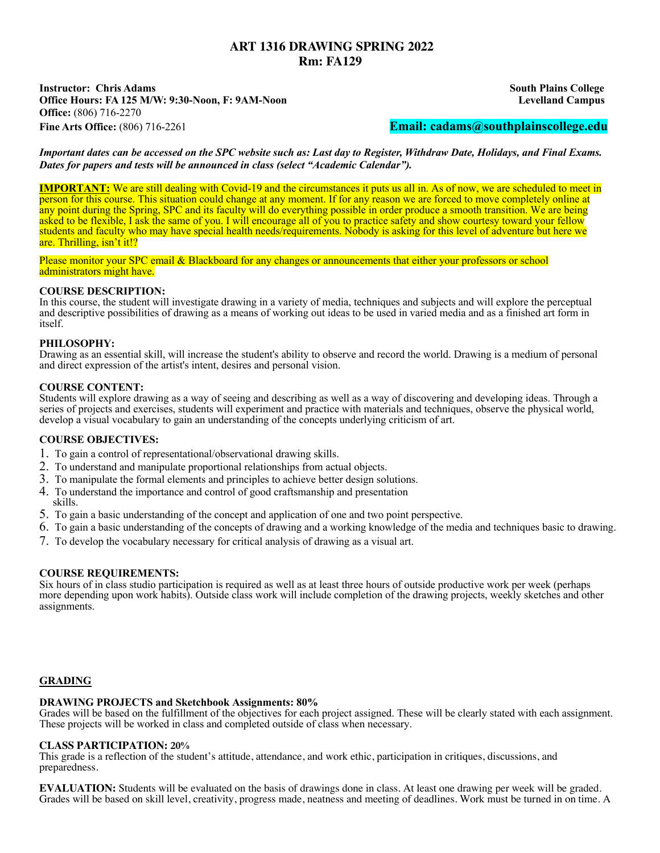# **ART 1316 DRAWING SPRING 2022 Rm: FA129**

**Instructor: Chris Adams South Plains College Office Hours: FA 125 M/W: 9:30-Noon, F: 9AM-Noon Levelland Campus Office:** (806) 716-2270 **Fine Arts Office:** (806) 716-2261 **Email: cadams@southplainscollege.edu**

*Important dates can be accessed on the SPC website such as: Last day to Register, Withdraw Date, Holidays, and Final Exams. Dates for papers and tests will be announced in class (select "Academic Calendar").*

**IMPORTANT:** We are still dealing with Covid-19 and the circumstances it puts us all in. As of now, we are scheduled to meet in person for this course. This situation could change at any moment. If for any reason we are forced to move completely online at any point during the Spring, SPC and its faculty will do everything possible in order produce a smooth transition. We are being asked to be flexible, I ask the same of you. I will encourage all of you to practice safety and show courtesy toward your fellow students and faculty who may have special health needs/requirements. Nobody is asking for this level of adventure but here we are. Thrilling, isn't it!?

Please monitor your SPC email & Blackboard for any changes or announcements that either your professors or school administrators might have.

# **COURSE DESCRIPTION:**

In this course, the student will investigate drawing in a variety of media, techniques and subjects and will explore the perceptual and descriptive possibilities of drawing as a means of working out ideas to be used in varied media and as a finished art form in itself.

# **PHILOSOPHY:**

Drawing as an essential skill, will increase the student's ability to observe and record the world. Drawing is a medium of personal and direct expression of the artist's intent, desires and personal vision.

# **COURSE CONTENT:**

Students will explore drawing as a way of seeing and describing as well as a way of discovering and developing ideas. Through a series of projects and exercises, students will experiment and practice with materials and techniques, observe the physical world, develop a visual vocabulary to gain an understanding of the concepts underlying criticism of art.

### **COURSE OBJECTIVES:**

- 1. To gain a control of representational/observational drawing skills.
- 2. To understand and manipulate proportional relationships from actual objects.
- 3. To manipulate the formal elements and principles to achieve better design solutions.
- 4. To understand the importance and control of good craftsmanship and presentation skills.
- 5. To gain a basic understanding of the concept and application of one and two point perspective.
- 6. To gain a basic understanding of the concepts of drawing and a working knowledge of the media and techniques basic to drawing.
- 7. To develop the vocabulary necessary for critical analysis of drawing as a visual art.

### **COURSE REQUIREMENTS:**

Six hours of in class studio participation is required as well as at least three hours of outside productive work per week (perhaps more depending upon work habits). Outside class work will include completion of the drawing projects, weekly sketches and other assignments.

# **GRADING**

### **DRAWING PROJECTS and Sketchbook Assignments: 80%**

Grades will be based on the fulfillment of the objectives for each project assigned. These will be clearly stated with each assignment. These projects will be worked in class and completed outside of class when necessary.

### **CLASS PARTICIPATION: 20%**

This grade is a reflection of the student's attitude, attendance, and work ethic, participation in critiques, discussions, and preparedness.

**EVALUATION:** Students will be evaluated on the basis of drawings done in class. At least one drawing per week will be graded. Grades will be based on skill level, creativity, progress made, neatness and meeting of deadlines. Work must be turned in on time. A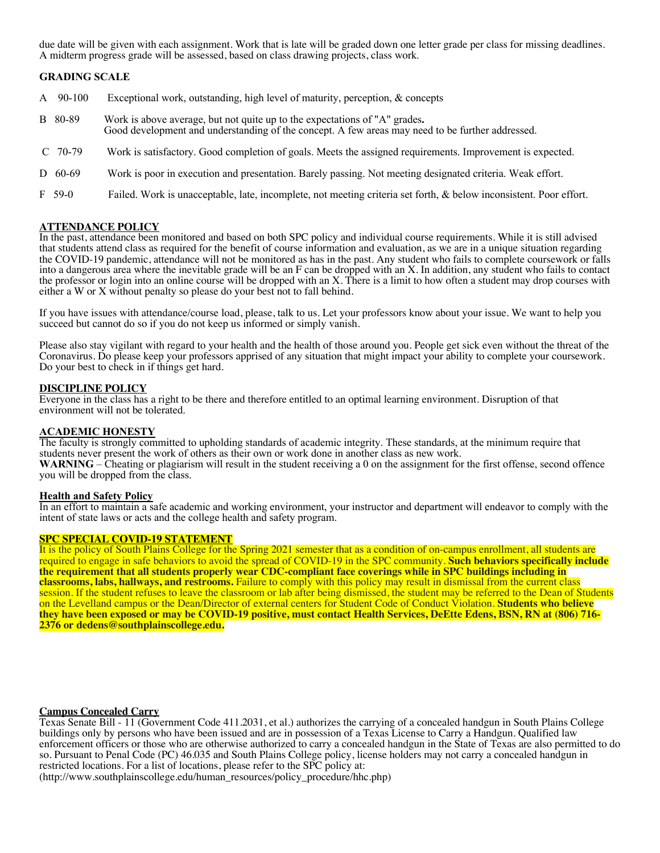due date will be given with each assignment. Work that is late will be graded down one letter grade per class for missing deadlines. A midterm progress grade will be assessed, based on class drawing projects, class work.

# **GRADING SCALE**

- A 90-100 Exceptional work, outstanding, high level of maturity, perception, & concepts
- B 80-89 Work is above average, but not quite up to the expectations of "A" grades**.**  Good development and understanding of the concept. A few areas may need to be further addressed.
- C 70-79 Work is satisfactory. Good completion of goals. Meets the assigned requirements. Improvement is expected.
- D 60-69 Work is poor in execution and presentation. Barely passing. Not meeting designated criteria. Weak effort.
- F 59-0 Failed. Work is unacceptable, late, incomplete, not meeting criteria set forth, & below inconsistent. Poor effort.

#### **ATTENDANCE POLICY**

In the past, attendance been monitored and based on both SPC policy and individual course requirements. While it is still advised that students attend class as required for the benefit of course information and evaluation, as we are in a unique situation regarding the COVID-19 pandemic, attendance will not be monitored as has in the past. Any student who fails to complete coursework or falls into a dangerous area where the inevitable grade will be an F can be dropped with an X. In addition, any student who fails to contact the professor or login into an online course will be dropped with an X. There is a limit to how often a student may drop courses with either a W or X without penalty so please do your best not to fall behind.

If you have issues with attendance/course load, please, talk to us. Let your professors know about your issue. We want to help you succeed but cannot do so if you do not keep us informed or simply vanish.

Please also stay vigilant with regard to your health and the health of those around you. People get sick even without the threat of the Coronavirus. Do please keep your professors apprised of any situation that might impact your ability to complete your coursework. Do your best to check in if things get hard.

#### **DISCIPLINE POLICY**

Everyone in the class has a right to be there and therefore entitled to an optimal learning environment. Disruption of that environment will not be tolerated.

#### **ACADEMIC HONESTY**

The faculty is strongly committed to upholding standards of academic integrity. These standards, at the minimum require that students never present the work of others as their own or work done in another class as new work. WARNING – Cheating or plagiarism will result in the student receiving a 0 on the assignment for the first offense, second offence you will be dropped from the class.

#### **Health and Safety Policy**

In an effort to maintain a safe academic and working environment, your instructor and department will endeavor to comply with the intent of state laws or acts and the college health and safety program.

### **SPC SPECIAL COVID-19 STATEMENT**

It is the policy of South Plains College for the Spring 2021 semester that as a condition of on-campus enrollment, all students are required to engage in safe behaviors to avoid the spread of COVID-19 in the SPC community. **Such behaviors specifically include the requirement that all students properly wear CDC-compliant face coverings while in SPC buildings including in classrooms, labs, hallways, and restrooms.** Failure to comply with this policy may result in dismissal from the current class session. If the student refuses to leave the classroom or lab after being dismissed, the student may be referred to the Dean of Students on the Levelland campus or the Dean/Director of external centers for Student Code of Conduct Violation. **Students who believe** they have been exposed or may be COVID-19 positive, must contact Health Services, DeEtte Edens, BSN, RN at (806) 716-<br>2376 or dedens@southplainscollege.edu.

# **Campus Concealed Carry**

Texas Senate Bill - 11 (Government Code 411.2031, et al.) authorizes the carrying of a concealed handgun in South Plains College buildings only by persons who have been issued and are in possession of a Texas License to Carry a Handgun. Qualified law enforcement officers or those who are otherwise authorized to carry a concealed handgun in the State of Texas are also permitted to do so. Pursuant to Penal Code (PC) 46.035 and South Plains College policy, license holders may not carry a concealed handgun in restricted locations. For a list of locations, please refer to the SPC policy at:

(http://www.southplainscollege.edu/human\_resources/policy\_procedure/hhc.php)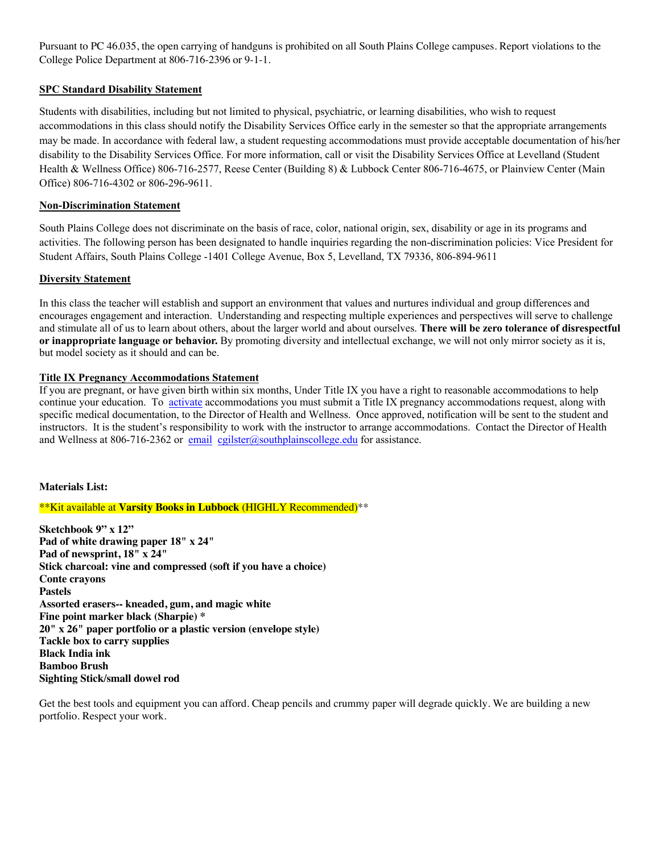Pursuant to PC 46.035, the open carrying of handguns is prohibited on all South Plains College campuses. Report violations to the College Police Department at 806-716-2396 or 9-1-1.

# **SPC Standard Disability Statement**

Students with disabilities, including but not limited to physical, psychiatric, or learning disabilities, who wish to request accommodations in this class should notify the Disability Services Office early in the semester so that the appropriate arrangements may be made. In accordance with federal law, a student requesting accommodations must provide acceptable documentation of his/her disability to the Disability Services Office. For more information, call or visit the Disability Services Office at Levelland (Student Health & Wellness Office) 806-716-2577, Reese Center (Building 8) & Lubbock Center 806-716-4675, or Plainview Center (Main Office) 806-716-4302 or 806-296-9611.

# **Non-Discrimination Statement**

South Plains College does not discriminate on the basis of race, color, national origin, sex, disability or age in its programs and activities. The following person has been designated to handle inquiries regarding the non-discrimination policies: Vice President for Student Affairs, South Plains College -1401 College Avenue, Box 5, Levelland, TX 79336, 806-894-9611

# **Diversity Statement**

In this class the teacher will establish and support an environment that values and nurtures individual and group differences and encourages engagement and interaction. Understanding and respecting multiple experiences and perspectives will serve to challenge and stimulate all of us to learn about others, about the larger world and about ourselves. **There will be zero tolerance of disrespectful or inappropriate language or behavior.** By promoting diversity and intellectual exchange, we will not only mirror society as it is, but model society as it should and can be.

# **Title IX Pregnancy Accommodations Statement**

If you are pregnant, or have given birth within six months, Under Title IX you have a right to reasonable accommodations to help continue your education. To activate accommodations you must submit a Title IX pregnancy accommodations request, along with specific medical documentation, to the Director of Health and Wellness. Once approved, notification will be sent to the student and instructors. It is the student's responsibility to work with the instructor to arrange accommodations. Contact the Director of Health and Wellness at 806-716-2362 or email cgilster@southplainscollege.edu for assistance.

# **Materials List:**

\*\*Kit available at **Varsity Books in Lubbock** (HIGHLY Recommended)\*\*

**Sketchbook 9" x 12" Pad of white drawing paper 18" x 24" Pad of newsprint, 18" x 24" Stick charcoal: vine and compressed (soft if you have a choice) Conte crayons Pastels Assorted erasers-- kneaded, gum, and magic white Fine point marker black (Sharpie) \* 20" x 26" paper portfolio or a plastic version (envelope style) Tackle box to carry supplies Black India ink Bamboo Brush Sighting Stick/small dowel rod**

Get the best tools and equipment you can afford. Cheap pencils and crummy paper will degrade quickly. We are building a new portfolio. Respect your work.